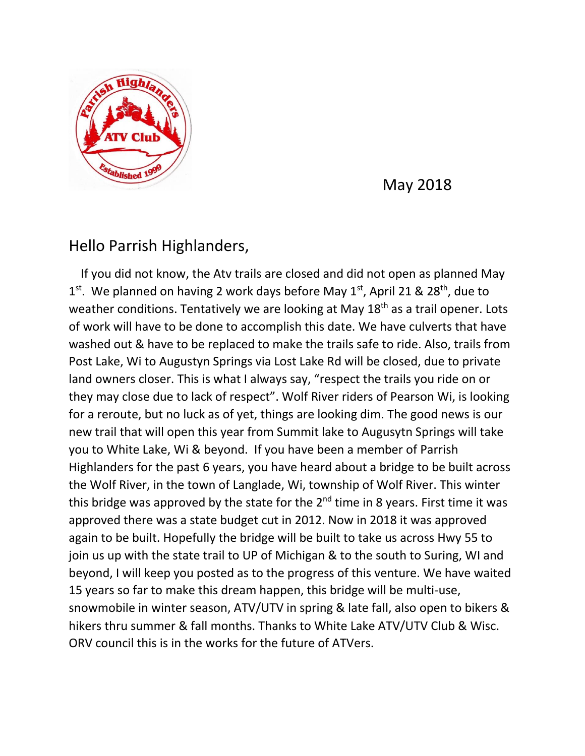

May 2018

## Hello Parrish Highlanders,

 If you did not know, the Atv trails are closed and did not open as planned May 1<sup>st</sup>. We planned on having 2 work days before May 1<sup>st</sup>, April 21 & 28<sup>th</sup>, due to weather conditions. Tentatively we are looking at May 18<sup>th</sup> as a trail opener. Lots of work will have to be done to accomplish this date. We have culverts that have washed out & have to be replaced to make the trails safe to ride. Also, trails from Post Lake, Wi to Augustyn Springs via Lost Lake Rd will be closed, due to private land owners closer. This is what I always say, "respect the trails you ride on or they may close due to lack of respect". Wolf River riders of Pearson Wi, is looking for a reroute, but no luck as of yet, things are looking dim. The good news is our new trail that will open this year from Summit lake to Augusytn Springs will take you to White Lake, Wi & beyond. If you have been a member of Parrish Highlanders for the past 6 years, you have heard about a bridge to be built across the Wolf River, in the town of Langlade, Wi, township of Wolf River. This winter this bridge was approved by the state for the  $2<sup>nd</sup>$  time in 8 years. First time it was approved there was a state budget cut in 2012. Now in 2018 it was approved again to be built. Hopefully the bridge will be built to take us across Hwy 55 to join us up with the state trail to UP of Michigan & to the south to Suring, WI and beyond, I will keep you posted as to the progress of this venture. We have waited 15 years so far to make this dream happen, this bridge will be multi-use, snowmobile in winter season, ATV/UTV in spring & late fall, also open to bikers & hikers thru summer & fall months. Thanks to White Lake ATV/UTV Club & Wisc. ORV council this is in the works for the future of ATVers.